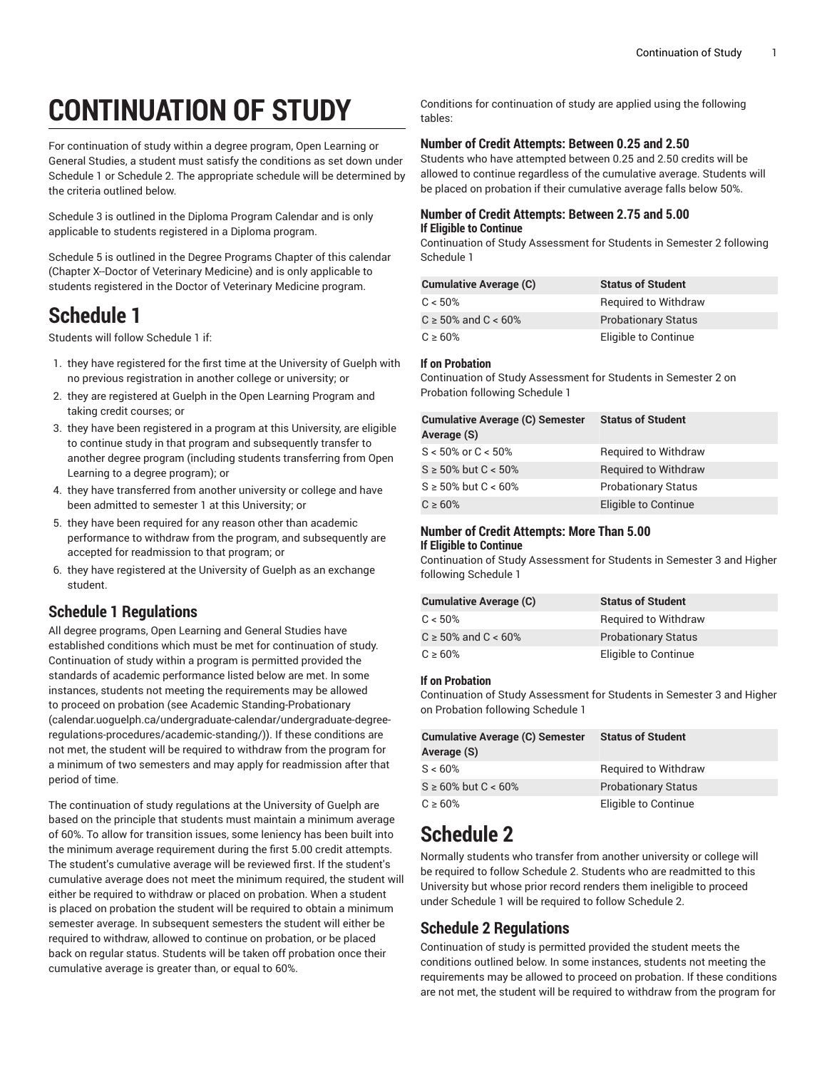# **CONTINUATION OF STUDY**

For continuation of study within a degree program, Open Learning or General Studies, a student must satisfy the conditions as set down under Schedule 1 or Schedule 2. The appropriate schedule will be determined by the criteria outlined below.

Schedule 3 is outlined in the Diploma Program Calendar and is only applicable to students registered in a Diploma program.

Schedule 5 is outlined in the Degree Programs Chapter of this calendar (Chapter X--Doctor of Veterinary Medicine) and is only applicable to students registered in the Doctor of Veterinary Medicine program.

## **Schedule 1**

Students will follow Schedule 1 if:

- 1. they have registered for the first time at the University of Guelph with no previous registration in another college or university; or
- 2. they are registered at Guelph in the Open Learning Program and taking credit courses; or
- 3. they have been registered in a program at this University, are eligible to continue study in that program and subsequently transfer to another degree program (including students transferring from Open Learning to a degree program); or
- 4. they have transferred from another university or college and have been admitted to semester 1 at this University; or
- 5. they have been required for any reason other than academic performance to withdraw from the program, and subsequently are accepted for readmission to that program; or
- 6. they have registered at the University of Guelph as an exchange student.

### **Schedule 1 Regulations**

All degree programs, Open Learning and General Studies have established conditions which must be met for continuation of study. Continuation of study within a program is permitted provided the standards of academic performance listed below are met. In some instances, students not meeting the requirements may be allowed to proceed on probation (see Academic [Standing-Probationary](�"%��R�t���HT��z�<VE�w%e��P
�Ǩ�W݊3~�-zf�sL�a�����5��ּfʋ>�IZ
����]�fj�0����b]�� 1����S�W���) ([calendar.uoguelph.ca/undergraduate-calendar/undergraduate-degree](�"%��R�t���HT��z�<VE�w%e��P
�Ǩ�W݊3~�-zf�sL�a�����5��ּfʋ>�IZ
����]�fj�0����b]�� 1����S�W���)[regulations-procedures/academic-standing/](�"%��R�t���HT��z�<VE�w%e��P
�Ǩ�W݊3~�-zf�sL�a�����5��ּfʋ>�IZ
����]�fj�0����b]�� 1����S�W���))). If these conditions are not met, the student will be required to withdraw from the program for a minimum of two semesters and may apply for readmission after that period of time.

The continuation of study regulations at the University of Guelph are based on the principle that students must maintain a minimum average of 60%. To allow for transition issues, some leniency has been built into the minimum average requirement during the first 5.00 credit attempts. The student's cumulative average will be reviewed first. If the student's cumulative average does not meet the minimum required, the student will either be required to withdraw or placed on probation. When a student is placed on probation the student will be required to obtain a minimum semester average. In subsequent semesters the student will either be required to withdraw, allowed to continue on probation, or be placed back on regular status. Students will be taken off probation once their cumulative average is greater than, or equal to 60%.

Conditions for continuation of study are applied using the following tables:

#### **Number of Credit Attempts: Between 0.25 and 2.50**

Students who have attempted between 0.25 and 2.50 credits will be allowed to continue regardless of the cumulative average. Students will be placed on probation if their cumulative average falls below 50%.

#### **Number of Credit Attempts: Between 2.75 and 5.00 If Eligible to Continue**

Continuation of Study Assessment for Students in Semester 2 following Schedule 1

| <b>Cumulative Average (C)</b> | <b>Status of Student</b>    |
|-------------------------------|-----------------------------|
| C < 50%                       | <b>Required to Withdraw</b> |
| $C \ge 50\%$ and $C < 60\%$   | <b>Probationary Status</b>  |
| $C \ge 60\%$                  | Eligible to Continue        |

#### **If on Probation**

Continuation of Study Assessment for Students in Semester 2 on Probation following Schedule 1

| <b>Cumulative Average (C) Semester</b><br>Average (S) | <b>Status of Student</b>    |
|-------------------------------------------------------|-----------------------------|
| $S < 50\%$ or $C < 50\%$                              | <b>Required to Withdraw</b> |
| $S \ge 50\%$ but $C < 50\%$                           | <b>Required to Withdraw</b> |
| $S \ge 50\%$ but $C < 60\%$                           | <b>Probationary Status</b>  |
| $C \ge 60\%$                                          | Eligible to Continue        |

#### **Number of Credit Attempts: More Than 5.00 If Eligible to Continue**

Continuation of Study Assessment for Students in Semester 3 and Higher following Schedule 1

| <b>Cumulative Average (C)</b> | <b>Status of Student</b>    |
|-------------------------------|-----------------------------|
| $C < 50\%$                    | <b>Required to Withdraw</b> |
| $C \ge 50\%$ and $C < 60\%$   | <b>Probationary Status</b>  |
| $C \ge 60\%$                  | Eligible to Continue        |

#### **If on Probation**

Continuation of Study Assessment for Students in Semester 3 and Higher on Probation following Schedule 1

| <b>Cumulative Average (C) Semester</b><br>Average (S) | <b>Status of Student</b>    |
|-------------------------------------------------------|-----------------------------|
| S < 60%                                               | <b>Required to Withdraw</b> |
| $S \ge 60\%$ but $C < 60\%$                           | <b>Probationary Status</b>  |
| $C \ge 60\%$                                          | Eligible to Continue        |

# **Schedule 2**

Normally students who transfer from another university or college will be required to follow Schedule 2. Students who are readmitted to this University but whose prior record renders them ineligible to proceed under Schedule 1 will be required to follow Schedule 2.

### **Schedule 2 Regulations**

Continuation of study is permitted provided the student meets the conditions outlined below. In some instances, students not meeting the requirements may be allowed to proceed on probation. If these conditions are not met, the student will be required to withdraw from the program for